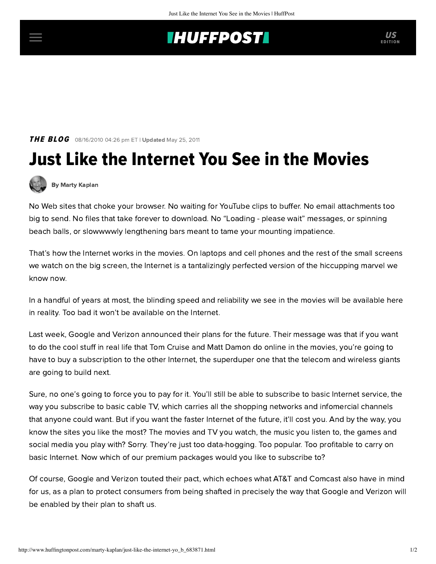## **INUFFPOST**

**THE BLOG** 08/16/2010 04:26 pm ET | Updated May 25, 2011

## Just Like the Internet You See in the Movies



[By Marty Kaplan](http://www.huffingtonpost.com/author/marty-kaplan)

No Web sites that choke your browser. No waiting for YouTube clips to buffer. No email attachments too big to send. No files that take forever to download. No "Loading - please wait" messages, or spinning beach balls, or slowwwwly lengthening bars meant to tame your mounting impatience.

That's how the Internet works in the movies. On laptops and cell phones and the rest of the small screens we watch on the big screen, the Internet is a tantalizingly perfected version of the hiccupping marvel we know now.

In a handful of years at most, the blinding speed and reliability we see in the movies will be available here in reality. Too bad it won't be available on the Internet.

Last week, Google and Verizon [announced](http://kara.allthingsd.com/20100813/decoding-googles-net-neutrality-proposal-blog-the-pixie-dust-free-edition/) their plans for the future. Their message was that if you want to do the cool stuff in real life that Tom Cruise and Matt Damon do online in the movies, you're going to have to buy a subscription to the other Internet, the superduper one that the telecom and wireless giants are going to build next.

Sure, no one's going to force you to pay for it. You'll still be able to subscribe to basic Internet service, the way you subscribe to basic cable TV, which carries all the shopping networks and infomercial channels that anyone could want. But if you want the faster Internet of the future, it'll cost you. And by the way, you know the sites you like the most? The movies and TV you watch, the music you listen to, the games and social media you play with? Sorry. They're just too data-hogging. Too popular. Too profitable to carry on basic Internet. Now which of our premium packages would you like to subscribe to?

Of course, Google and Verizon [touted](http://arstechnica.com/telecom/news/2010/08/a-paper-trail-of-betrayal-googles-net-neutrality-collapse.ars) their pact, which echoes what [AT&T](http://www.nytimes.com/2010/08/12/technology/12net.html?_r=1) and [Comcast](http://www.freepress.net/files/carving_up_the_internet.pdf) also have in mind for us, as a plan to protect consumers from being shafted in precisely the way that Google and Verizon will be enabled by their plan to shaft us.